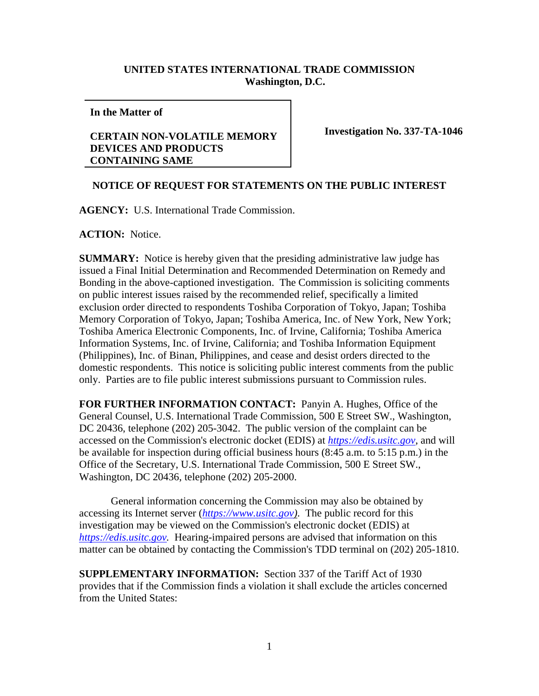## **UNITED STATES INTERNATIONAL TRADE COMMISSION Washington, D.C.**

**In the Matter of** 

## **CERTAIN NON-VOLATILE MEMORY DEVICES AND PRODUCTS CONTAINING SAME**

**Investigation No. 337-TA-1046**

## **NOTICE OF REQUEST FOR STATEMENTS ON THE PUBLIC INTEREST**

**AGENCY:** U.S. International Trade Commission.

**ACTION:** Notice.

**SUMMARY:** Notice is hereby given that the presiding administrative law judge has issued a Final Initial Determination and Recommended Determination on Remedy and Bonding in the above-captioned investigation. The Commission is soliciting comments on public interest issues raised by the recommended relief, specifically a limited exclusion order directed to respondents Toshiba Corporation of Tokyo, Japan; Toshiba Memory Corporation of Tokyo, Japan; Toshiba America, Inc. of New York, New York; Toshiba America Electronic Components, Inc. of Irvine, California; Toshiba America Information Systems, Inc. of Irvine, California; and Toshiba Information Equipment (Philippines), Inc. of Binan, Philippines, and cease and desist orders directed to the domestic respondents. This notice is soliciting public interest comments from the public only. Parties are to file public interest submissions pursuant to Commission rules.

**FOR FURTHER INFORMATION CONTACT:** Panyin A. Hughes, Office of the General Counsel, U.S. International Trade Commission, 500 E Street SW., Washington, DC 20436, telephone (202) 205-3042. The public version of the complaint can be accessed on the Commission's electronic docket (EDIS) at *[https://edis.usitc.gov](https://edis.usitc.gov/)*, and will be available for inspection during official business hours (8:45 a.m. to 5:15 p.m.) in the Office of the Secretary, U.S. International Trade Commission, 500 E Street SW., Washington, DC 20436, telephone (202) 205-2000.

General information concerning the Commission may also be obtained by accessing its Internet server (*[https://www.usitc.gov\)](https://www.usitc.gov/)*. The public record for this investigation may be viewed on the Commission's electronic docket (EDIS) at *[https://edis.usitc.gov.](https://edis.usitc.gov/)* Hearing-impaired persons are advised that information on this matter can be obtained by contacting the Commission's TDD terminal on (202) 205-1810.

**SUPPLEMENTARY INFORMATION:** Section 337 of the Tariff Act of 1930 provides that if the Commission finds a violation it shall exclude the articles concerned from the United States: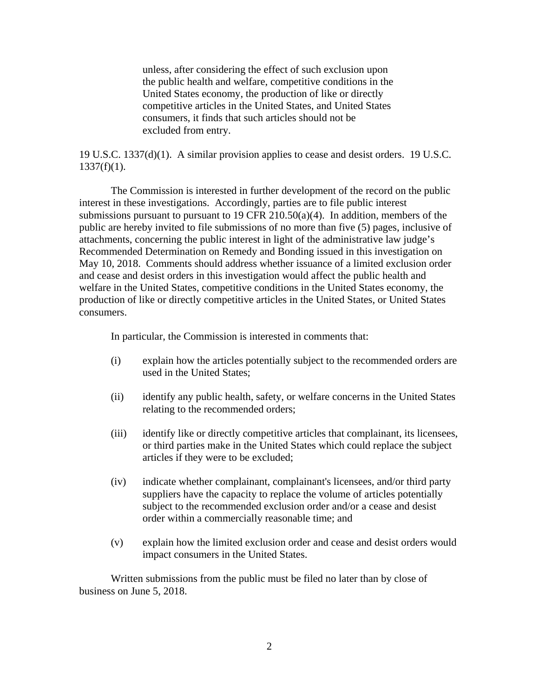unless, after considering the effect of such exclusion upon the public health and welfare, competitive conditions in the United States economy, the production of like or directly competitive articles in the United States, and United States consumers, it finds that such articles should not be excluded from entry.

19 U.S.C. 1337(d)(1). A similar provision applies to cease and desist orders. 19 U.S.C.  $1337(f)(1)$ .

The Commission is interested in further development of the record on the public interest in these investigations. Accordingly, parties are to file public interest submissions pursuant to pursuant to 19 CFR 210.50(a)(4). In addition, members of the public are hereby invited to file submissions of no more than five (5) pages, inclusive of attachments, concerning the public interest in light of the administrative law judge's Recommended Determination on Remedy and Bonding issued in this investigation on May 10, 2018. Comments should address whether issuance of a limited exclusion order and cease and desist orders in this investigation would affect the public health and welfare in the United States, competitive conditions in the United States economy, the production of like or directly competitive articles in the United States, or United States consumers.

In particular, the Commission is interested in comments that:

- (i) explain how the articles potentially subject to the recommended orders are used in the United States;
- (ii) identify any public health, safety, or welfare concerns in the United States relating to the recommended orders;
- (iii) identify like or directly competitive articles that complainant, its licensees, or third parties make in the United States which could replace the subject articles if they were to be excluded;
- (iv) indicate whether complainant, complainant's licensees, and/or third party suppliers have the capacity to replace the volume of articles potentially subject to the recommended exclusion order and/or a cease and desist order within a commercially reasonable time; and
- (v) explain how the limited exclusion order and cease and desist orders would impact consumers in the United States.

Written submissions from the public must be filed no later than by close of business on June 5, 2018.